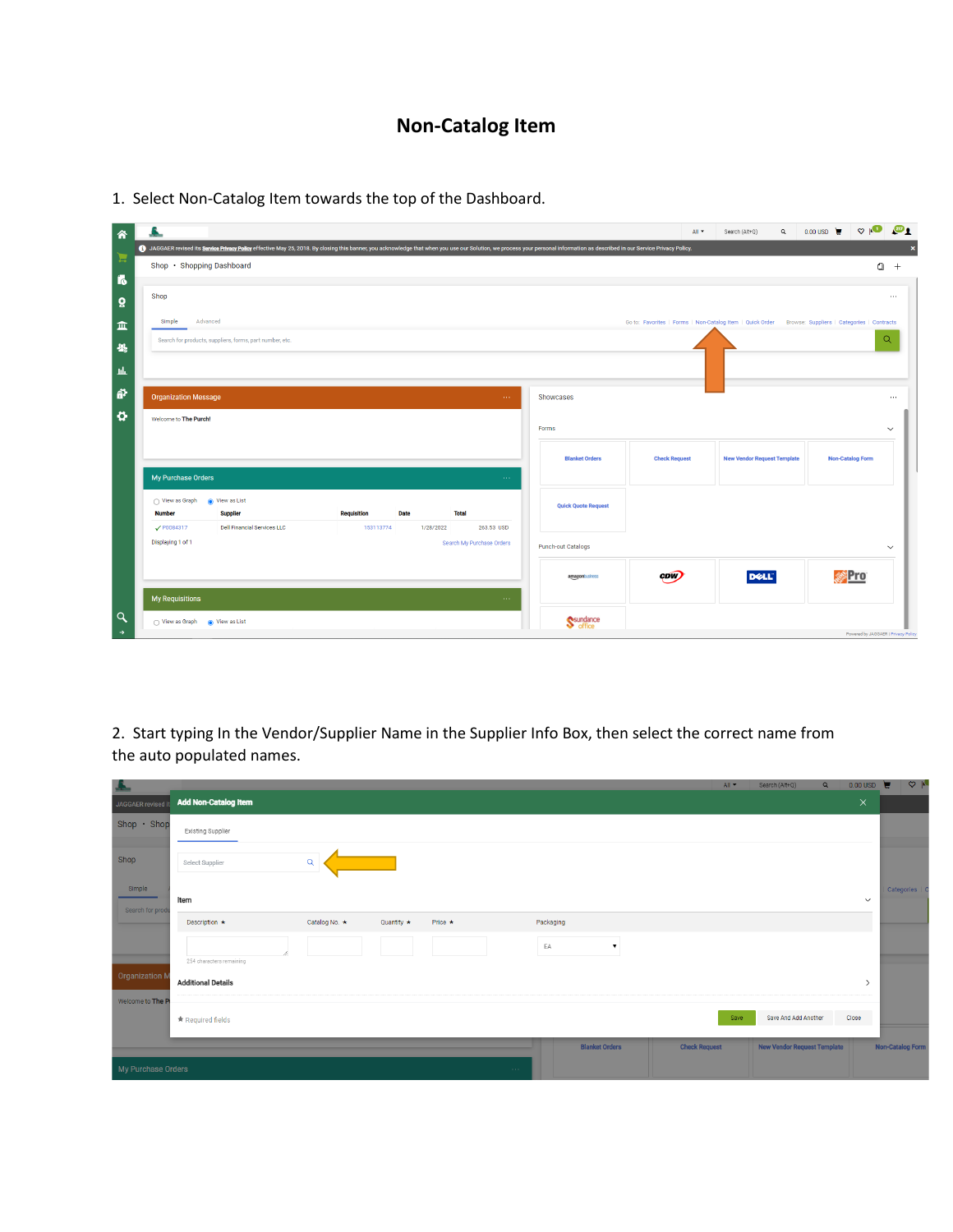# **Non-Catalog Item**

| 谷                      | 巫                                                                                                                                                                                                                              |                                 | All <b>v</b>                                                                                         | $\alpha$<br>Search (Alt+Q)         | 0.00 USD $\mathbf{F}$ $\heartsuit$ $\mathbf{O}$ | ு                         |
|------------------------|--------------------------------------------------------------------------------------------------------------------------------------------------------------------------------------------------------------------------------|---------------------------------|------------------------------------------------------------------------------------------------------|------------------------------------|-------------------------------------------------|---------------------------|
|                        | 4) JAGGAER revised its Service Privacy Policy effective May 25, 2018. By closing this banner, you acknowledge that when you use our Solution, we process your personal information as described in our Service Privacy Policy. |                                 |                                                                                                      |                                    |                                                 | $\boldsymbol{\mathsf{x}}$ |
| Н                      | Shop · Shopping Dashboard                                                                                                                                                                                                      |                                 |                                                                                                      |                                    | $\Omega$                                        | $+$                       |
| $\overline{6}$         |                                                                                                                                                                                                                                |                                 |                                                                                                      |                                    |                                                 |                           |
| õ                      | Shop                                                                                                                                                                                                                           |                                 |                                                                                                      |                                    |                                                 | $\cdots$                  |
| 血                      | Advanced<br>Simple                                                                                                                                                                                                             |                                 | Go to: Favorites   Forms   Non-Catalog Item   Quick Order Browse: Suppliers   Categories   Contracts |                                    |                                                 |                           |
| $\frac{10}{25}$        | Search for products, suppliers, forms, part number, etc.                                                                                                                                                                       |                                 |                                                                                                      |                                    |                                                 | $\alpha$                  |
|                        |                                                                                                                                                                                                                                |                                 |                                                                                                      |                                    |                                                 |                           |
| $\mathbf{h}\mathbf{h}$ |                                                                                                                                                                                                                                |                                 |                                                                                                      |                                    |                                                 |                           |
| ត្ត                    | <b>Organization Message</b><br>$\sim$ $\sim$ $\sim$                                                                                                                                                                            | Showcases                       |                                                                                                      |                                    |                                                 | $\cdots$                  |
| ø                      | Welcome to The Purch!                                                                                                                                                                                                          |                                 |                                                                                                      |                                    |                                                 |                           |
|                        |                                                                                                                                                                                                                                | Forms                           |                                                                                                      |                                    |                                                 | $\checkmark$              |
|                        |                                                                                                                                                                                                                                | <b>Blanket Orders</b>           | <b>Check Request</b>                                                                                 | <b>New Vendor Request Template</b> | <b>Non-Catalog Form</b>                         |                           |
|                        | My Purchase Orders<br>$\sim 100$                                                                                                                                                                                               |                                 |                                                                                                      |                                    |                                                 |                           |
|                        |                                                                                                                                                                                                                                |                                 |                                                                                                      |                                    |                                                 |                           |
|                        | Wiew as List<br>◯ View as Graph<br><b>Number</b><br><b>Supplier</b><br><b>Requisition</b><br><b>Date</b><br><b>Total</b>                                                                                                       | <b>Quick Quote Request</b>      |                                                                                                      |                                    |                                                 |                           |
|                        | $\sqrt{P0084317}$<br>Dell Financial Services LLC<br>153113774<br>1/28/2022<br>263.53 USD                                                                                                                                       |                                 |                                                                                                      |                                    |                                                 |                           |
|                        | Displaying 1 of 1<br>Search My Purchase Orders                                                                                                                                                                                 | <b>Punch-out Catalogs</b>       |                                                                                                      |                                    |                                                 | $\checkmark$              |
|                        |                                                                                                                                                                                                                                |                                 |                                                                                                      |                                    |                                                 |                           |
|                        |                                                                                                                                                                                                                                | amazonbusiness                  | CDW)                                                                                                 | <b>DELL</b>                        | <i>辨</i> Pro                                    |                           |
|                        | <b>My Requisitions</b><br>$\sim 100$                                                                                                                                                                                           |                                 |                                                                                                      |                                    |                                                 |                           |
| $\alpha$               | ◯ View as Graph ( View as List                                                                                                                                                                                                 | Sundance<br>S <sup>office</sup> |                                                                                                      |                                    |                                                 |                           |
| $\rightarrow$          |                                                                                                                                                                                                                                |                                 |                                                                                                      |                                    | Powered by JAGGAER   Privacy Policy             |                           |

1. Select Non-Catalog Item towards the top of the Dashboard.

2. Start typing In the Vendor/Supplier Name in the Supplier Info Box, then select the correct name from the auto populated names.

| <b>Shippens</b>                           |                                                                                        | $All -$              | Search (Alt+Q)<br>$\alpha$         | $0.00 \text{ USD}$ | $\mathcal{A}$           |
|-------------------------------------------|----------------------------------------------------------------------------------------|----------------------|------------------------------------|--------------------|-------------------------|
| JAGGAER revised                           | <b>Add Non-Catalog Item</b>                                                            |                      |                                    | $\times$           |                         |
| Shop · Shop                               | Existing Supplier                                                                      |                      |                                    |                    |                         |
| Shop                                      | $\alpha$<br>Select Supplier                                                            |                      |                                    |                    |                         |
| Simple<br>Item<br>Search for produ        |                                                                                        |                      |                                    | $\check{~}$        | Categories   0          |
|                                           | Catalog No. *<br>Packaging<br>Description $\star$<br>Quantity $\star$<br>Price $\star$ |                      |                                    |                    |                         |
|                                           | EA<br>$\blacktriangledown$<br>254 characters remaining                                 |                      |                                    |                    |                         |
| <b>Organization M</b><br>Welcome to The P | <b>Additional Details</b>                                                              |                      |                                    | $\rightarrow$      |                         |
|                                           | <b>★ Required fields</b>                                                               | Save                 | Save And Add Another               | Close              |                         |
|                                           | <b>Blanket Orders</b>                                                                  | <b>Check Request</b> | <b>New Vendor Request Template</b> |                    | <b>Non-Catalog Form</b> |
| My Purchase Orders                        | <b>Contract</b>                                                                        |                      |                                    |                    |                         |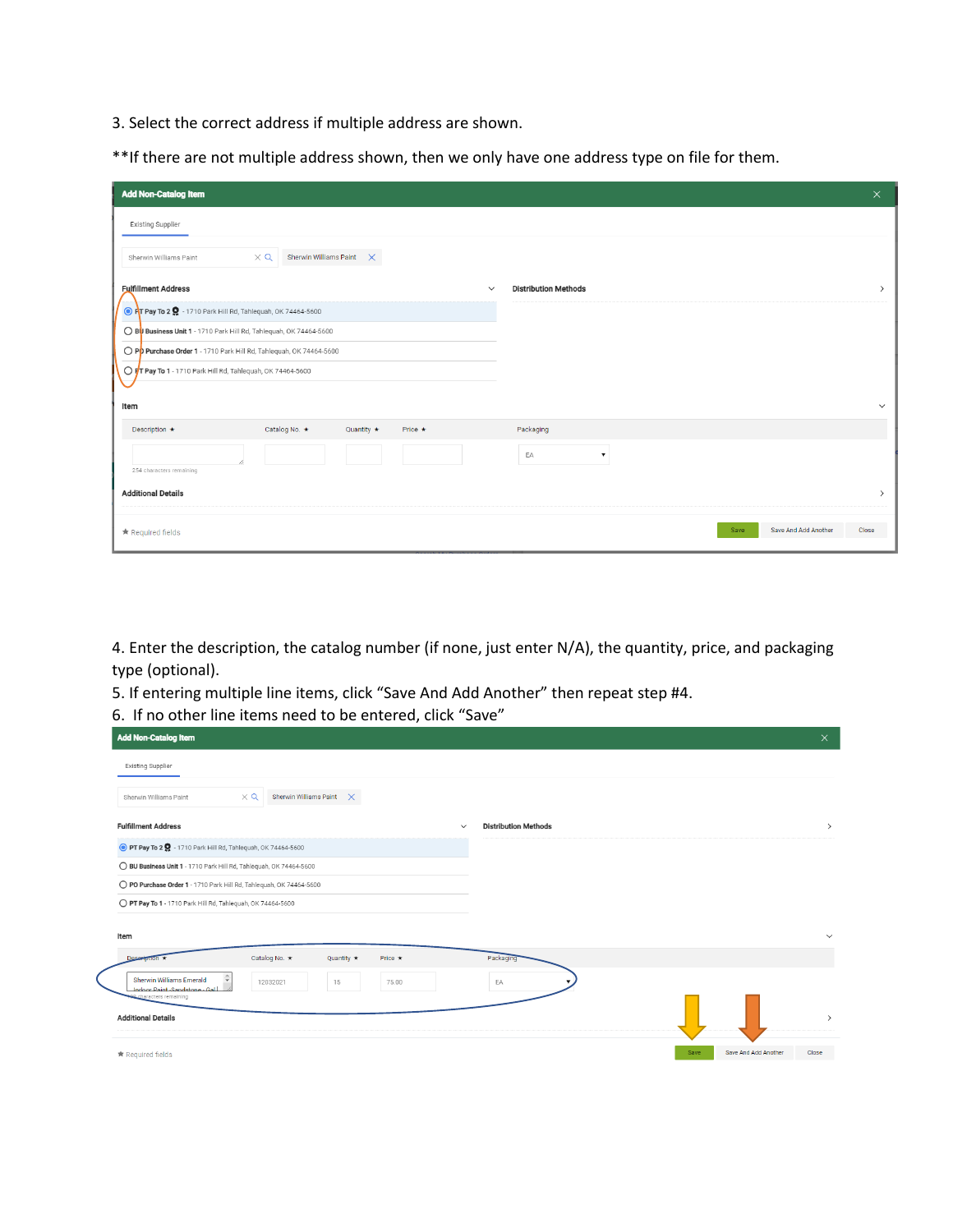3. Select the correct address if multiple address are shown.

\*\*If there are not multiple address shown, then we only have one address type on file for them.

| <b>Add Non-Catalog Item</b>                                             | $\times$                                     |
|-------------------------------------------------------------------------|----------------------------------------------|
| Existing Supplier                                                       |                                              |
| $\times$ Q<br>Sherwin Williams Paint $\times$<br>Sherwin Williams Paint |                                              |
| <b>Fulfillment Address</b><br>$\checkmark$                              | <b>Distribution Methods</b><br>$\rightarrow$ |
| O PT Pay To 2 9 - 1710 Park Hill Rd, Tahlequah, OK 74464-5600           |                                              |
| ◯ BUSIness Unit 1 - 1710 Park Hill Rd, Tahlequah, OK 74464-5600         |                                              |
| O Pp Purchase Order 1 - 1710 Park Hill Rd, Tahlequah, OK 74464-5600     |                                              |
| O FT Pay To 1 - 1710 Park Hill Rd, Tahlequah, OK 74464-5600             |                                              |
| Item                                                                    | $\checkmark$                                 |
| Catalog No. *<br>Description *<br>Quantity $\star$<br>Price $\star$     | Packaging                                    |
| 254 characters remaining                                                | EA<br>$\blacktriangledown$                   |
| <b>Additional Details</b>                                               | $\rightarrow$                                |
| $\star$ Required fields                                                 | Save And Add Another<br>Close<br>Save        |

4. Enter the description, the catalog number (if none, just enter N/A), the quantity, price, and packaging type (optional).

5. If entering multiple line items, click "Save And Add Another" then repeat step #4.

| 6. If no other line items need to be entered, click "Save"                                                   |               |                             |      |                      |               |
|--------------------------------------------------------------------------------------------------------------|---------------|-----------------------------|------|----------------------|---------------|
| <b>Add Non-Catalog Item</b>                                                                                  |               |                             |      |                      | $\times$      |
| <b>Existing Supplier</b>                                                                                     |               |                             |      |                      |               |
| Sherwin Williams Paint $\times$<br>$\times$ Q<br>Sherwin Williams Paint                                      |               |                             |      |                      |               |
| <b>Fulfillment Address</b>                                                                                   | $\checkmark$  | <b>Distribution Methods</b> |      |                      | $\rightarrow$ |
| O PT Pay To 2 Q - 1710 Park Hill Rd, Tahlequah, OK 74464-5600                                                |               |                             |      |                      |               |
| ◯ BU Business Unit 1 - 1710 Park Hill Rd, Tahlequah, OK 74464-5600                                           |               |                             |      |                      |               |
| O PO Purchase Order 1 - 1710 Park Hill Rd, Tahlequah, OK 74464-5600                                          |               |                             |      |                      |               |
| O PT Pay To 1 - 1710 Park Hill Rd, Tahlequah, OK 74464-5600                                                  |               |                             |      |                      |               |
| Item                                                                                                         |               |                             |      |                      | $\checkmark$  |
| Catalog No. *<br>Description<br>Quantity $\star$                                                             | Price $\star$ | Packaging                   |      |                      |               |
| Sherwin Williams Emerald<br>12032021<br>15<br>Indoor Paint -Sandstone - Gal<br><b>9</b> characters remaining | 75.00         | EA                          |      |                      |               |
| <b>Additional Details</b>                                                                                    |               |                             |      |                      | $\rightarrow$ |
| ★ Required fields                                                                                            |               |                             | Save | Save And Add Another | Close         |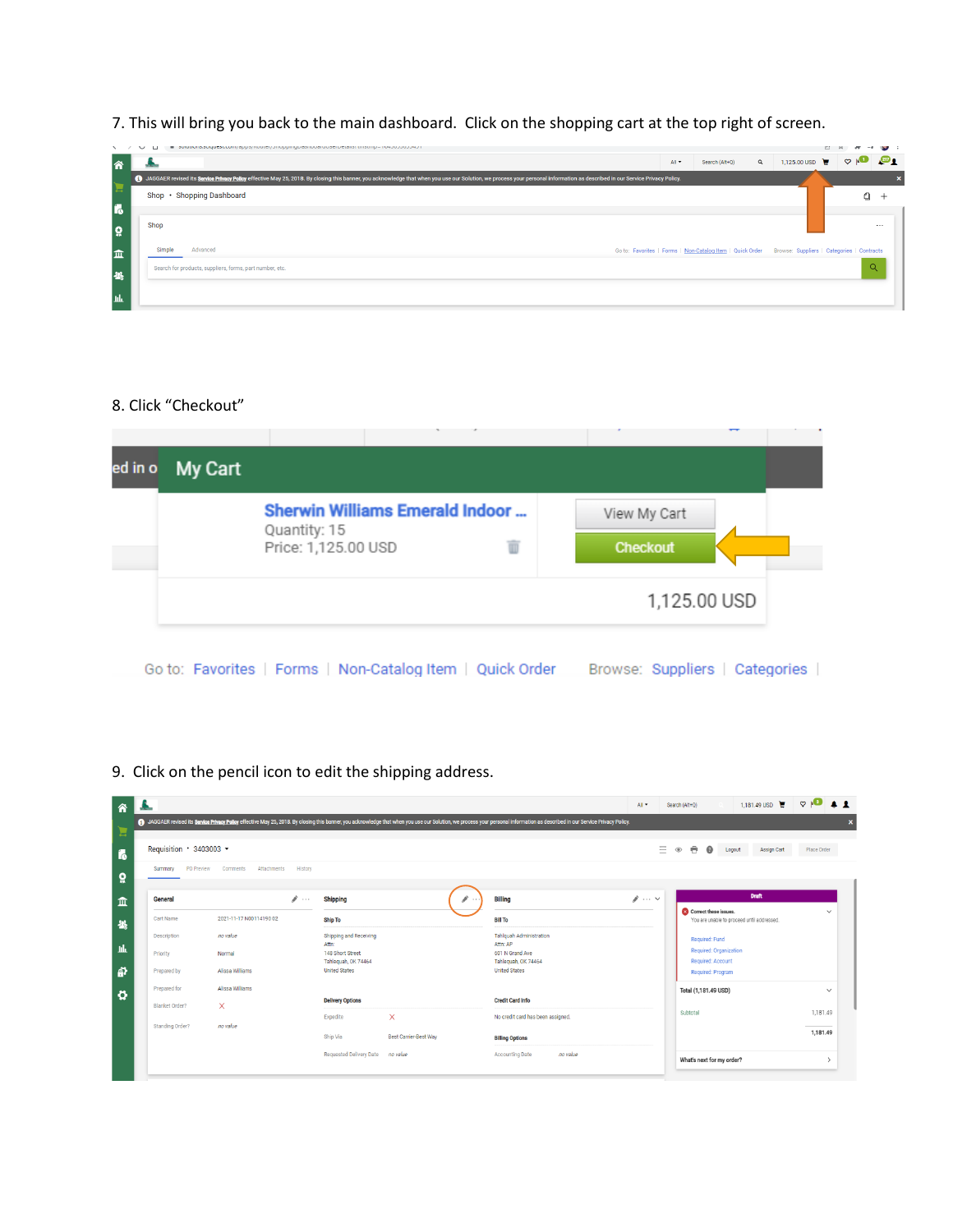7. This will bring you back to the main dashboard. Click on the shopping cart at the top right of screen.

|    |        | ■ SUNNOTIS/SUNNOTI/ dpp/s/ (WARD) / (Inoppring presinced upser pretains) (Insting= Textboopprofit)                                                                                                                             |       |                                                                                                      |          |                     |                |          | $-0$ (see ) |
|----|--------|--------------------------------------------------------------------------------------------------------------------------------------------------------------------------------------------------------------------------------|-------|------------------------------------------------------------------------------------------------------|----------|---------------------|----------------|----------|-------------|
| 谷  |        |                                                                                                                                                                                                                                | All * | Search (Alt+Q)                                                                                       | $\alpha$ | 1,125.00 USD $\Box$ | $\circ$ $\sim$ |          | ு           |
|    |        | 4) JAGGAER revised its Service Privacy Policy effective May 25, 2018. By closing this banner, you acknowledge that when you use our Solution, we process your personal information as described in our Service Privacy Policy. |       |                                                                                                      |          |                     |                |          |             |
|    |        | Shop · Shopping Dashboard                                                                                                                                                                                                      |       |                                                                                                      |          |                     |                | n.       |             |
| 16 |        |                                                                                                                                                                                                                                |       |                                                                                                      |          |                     |                |          |             |
| ្ល | Shop   |                                                                                                                                                                                                                                |       |                                                                                                      |          |                     |                |          | $\cdots$    |
| 血  | Simple | Advanced                                                                                                                                                                                                                       |       | Go to: Favorites   Forms   Non-Catalog Item   Quick Order Browse: Suppliers   Categories   Contracts |          |                     |                |          |             |
| 怨  |        | Search for products, suppliers, forms, part number, etc.                                                                                                                                                                       |       |                                                                                                      |          |                     |                | $\alpha$ |             |
| ЧW |        |                                                                                                                                                                                                                                |       |                                                                                                      |          |                     |                |          |             |

# 8. Click "Checkout"

|  | <b>Sherwin Williams Emerald Indoor </b> |   | View My Cart    |  |
|--|-----------------------------------------|---|-----------------|--|
|  | Quantity: 15<br>Price: 1,125.00 USD     | w | <b>Checkout</b> |  |
|  |                                         |   | 1,125.00 USD    |  |

9. Click on the pencil icon to edit the shipping address.

|                         |                         |                    |                                         |                              | 4) JAGGAER revised its Service Privacy Policy effective May 25, 2018. By closing this banner, you acknowledge that when you use our Solution, we process your personal information as described in our Service Privacy Policy. |                              |                                                                     |               |
|-------------------------|-------------------------|--------------------|-----------------------------------------|------------------------------|--------------------------------------------------------------------------------------------------------------------------------------------------------------------------------------------------------------------------------|------------------------------|---------------------------------------------------------------------|---------------|
| Requisition · 3403003 · |                         |                    |                                         |                              |                                                                                                                                                                                                                                | $=$                          | 曲<br>⋒<br>Logout<br>Assign Cart<br>$^{\circ}$                       | Place Order   |
| PO Preview<br>Summary   | Comments<br>Attachments | History            |                                         |                              |                                                                                                                                                                                                                                |                              |                                                                     |               |
| General                 |                         | v<br>$\sim$ $\sim$ | Shipping                                | $\sim$ 1.1                   | <b>Billing</b>                                                                                                                                                                                                                 | $\blacktriangleright$ $\vee$ | <b>Draft</b>                                                        |               |
| Cart Name               | 2021-11-17 N00114190 02 |                    | Ship To                                 |                              | <b>Bill To</b>                                                                                                                                                                                                                 |                              | Correct these issues.<br>You are unable to proceed until addressed. | $\checkmark$  |
| Description             | no value                |                    | Shipping and Receiving<br>Attn:         |                              | <b>Tahlquah Administration</b><br>Attn: AP                                                                                                                                                                                     |                              | Required: Fund                                                      |               |
| Priority                | Normal                  |                    | 148 Short Street<br>Tahleguah, OK 74464 |                              | 601 N Grand Ave<br>Tahleguah, OK 74464                                                                                                                                                                                         |                              | Required: Organization<br><b>Required: Account</b>                  |               |
| Prepared by             | Alissa Williams         |                    | <b>United States</b>                    |                              | <b>United States</b>                                                                                                                                                                                                           |                              | Required: Program                                                   |               |
| Prepared for            | Alissa Williams         |                    |                                         |                              |                                                                                                                                                                                                                                |                              | Total (1,181.49 USD)                                                | $\checkmark$  |
| Blanket Order?          | $\times$                |                    | <b>Delivery Options</b>                 |                              | <b>Credit Card Info</b>                                                                                                                                                                                                        |                              | Subtotal                                                            | 1,181.49      |
| Standing Order?         | no value                |                    | Expedite                                | $\times$                     | No credit card has been assigned.                                                                                                                                                                                              |                              |                                                                     |               |
|                         |                         |                    | Ship Via                                | <b>Best Carrier-Best Way</b> | <b>Billing Options</b>                                                                                                                                                                                                         |                              |                                                                     | 1,181.49      |
|                         |                         |                    | <b>Requested Delivery Date</b>          | no value                     | no value<br><b>Accounting Date</b>                                                                                                                                                                                             |                              | What's next for my order?                                           | $\rightarrow$ |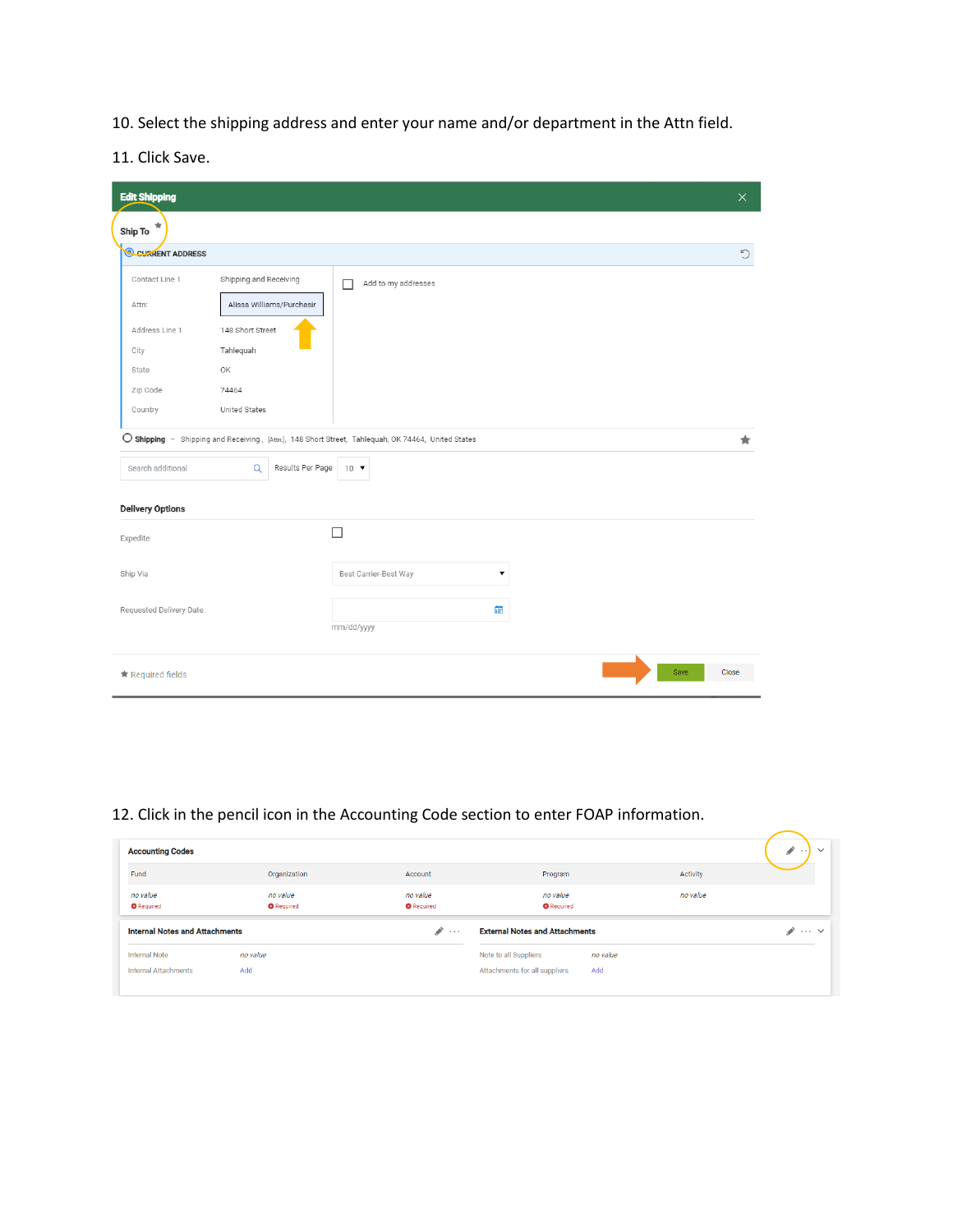10. Select the shipping address and enter your name and/or department in the Attn field.

11. Click Save.

| <b>Edit Shipping</b>     |                                                                                                    |                                               |      | $\times$ |
|--------------------------|----------------------------------------------------------------------------------------------------|-----------------------------------------------|------|----------|
| ★<br>Ship To             |                                                                                                    |                                               |      |          |
| <b>Q CURRENT ADDRESS</b> |                                                                                                    |                                               |      | D        |
| Contact Line 1<br>Attn:  | Shipping and Receiving<br>п<br>Alissa Williams/Purchasir                                           | Add to my addresses                           |      |          |
| Address Line 1           | 148 Short Street                                                                                   |                                               |      |          |
| City<br>State            | Tahlequah<br>OK                                                                                    |                                               |      |          |
| Zip Code                 | 74464                                                                                              |                                               |      |          |
| Country                  | United States                                                                                      |                                               |      |          |
|                          | O Shipping - Shipping and Receiving, [Attn:], 148 Short Street, Tahlequah, OK 74464, United States |                                               |      | $\star$  |
| Search additional        | Results Per Page<br>$\alpha$<br>$10$ $\blacktriangledown$                                          |                                               |      |          |
| <b>Delivery Options</b>  |                                                                                                    |                                               |      |          |
| Expedite                 | П                                                                                                  |                                               |      |          |
| Ship Via                 |                                                                                                    | Best Carrier-Best Way<br>$\blacktriangledown$ |      |          |
| Requested Delivery Date  | mm/dd/yyyy                                                                                         | 蘁                                             |      |          |
| ★ Required fields        |                                                                                                    |                                               | Save | Close    |

# 12. Click in the pencil icon in the Accounting Code section to enter FOAP information.

| <b>Accounting Codes</b>               |                               |                               |                                       |          |          | $\mathcal{L}$<br>$\checkmark$<br>$\cdots$ |
|---------------------------------------|-------------------------------|-------------------------------|---------------------------------------|----------|----------|-------------------------------------------|
| Fund                                  | Organization                  | Account                       | Program                               |          | Activity |                                           |
| no value<br><b>O</b> Required         | no value<br><b>O</b> Required | no value<br><b>O</b> Required | no value<br><b>O</b> Required         |          | no value |                                           |
| <b>Internal Notes and Attachments</b> |                               | $\mathcal{L}$<br>$\cdots$     | <b>External Notes and Attachments</b> |          |          | $\cdots$ $\vee$                           |
| <b>Internal Note</b>                  | no value                      |                               | Note to all Suppliers                 | no value |          |                                           |
| Internal Attachments                  | Add                           |                               | Attachments for all suppliers         | Add      |          |                                           |
|                                       |                               |                               |                                       |          |          |                                           |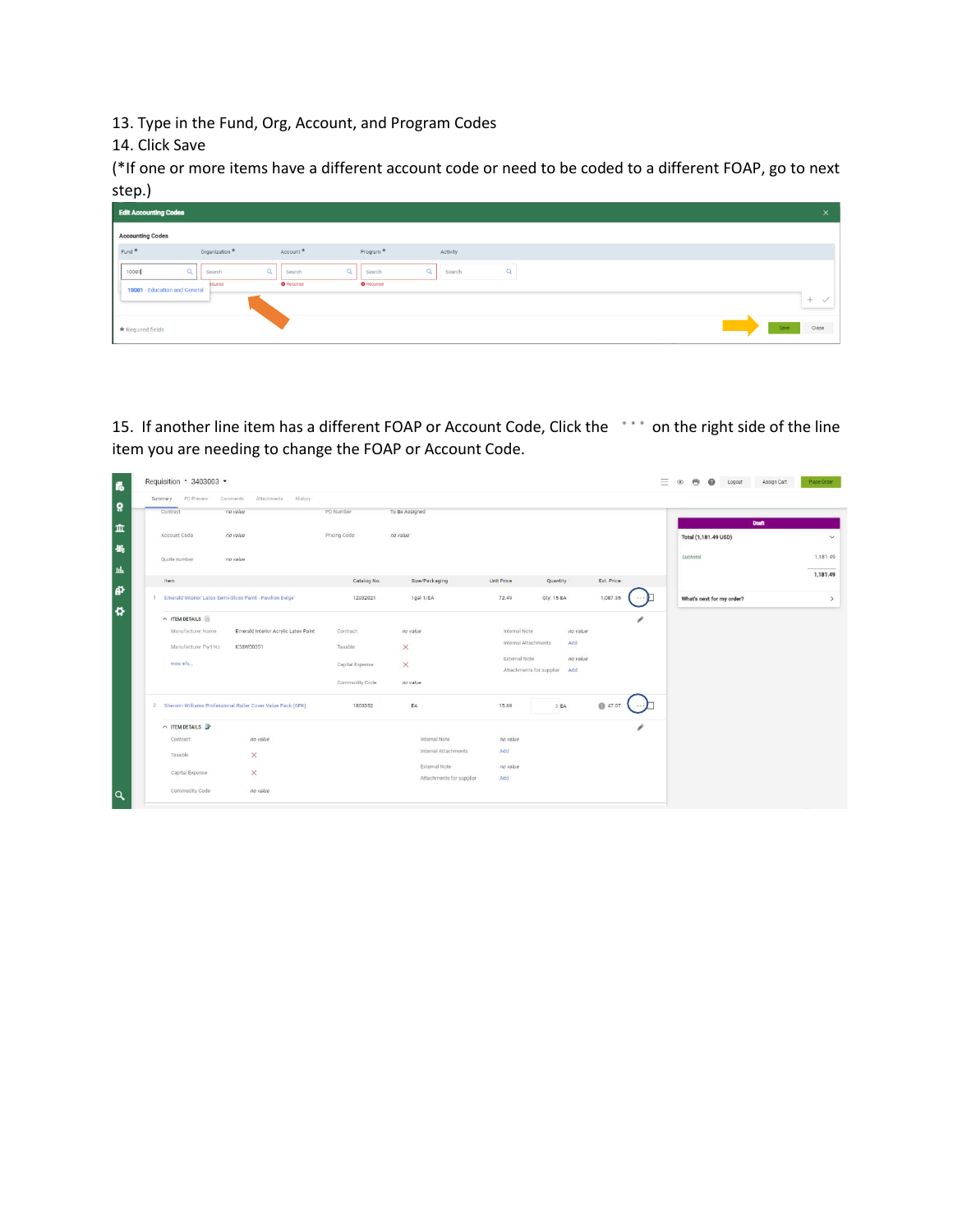13. Type in the Fund, Org, Account, and Program Codes

14. Click Save

(\*If one or more items have a different account code or need to be coded to a different FOAP, go to next step.)

| <b>Edit Accounting Codes</b>  |                               |                                         |                                         |                    |          |      | $\times$ |
|-------------------------------|-------------------------------|-----------------------------------------|-----------------------------------------|--------------------|----------|------|----------|
| <b>Accounting Codes</b>       |                               |                                         |                                         |                    |          |      |          |
| Fund <sup>*</sup>             | Organization <sup>*</sup>     | Account *                               | Program <sup>*</sup>                    | Activity           |          |      |          |
| 10001                         | $\alpha$<br>Search<br>equired | $\alpha$<br>Search<br><b>O</b> Required | $\alpha$<br>Search<br><b>O</b> Required | $\alpha$<br>Search | $\alpha$ |      |          |
| 10001 - Education and General |                               |                                         |                                         |                    |          |      | ÷        |
| * Required fields             |                               |                                         |                                         |                    |          | Save | Close    |

15. If another line item has a different FOAP or Account Code, Click the \*\*\* on the right side of the line item you are needing to change the FOAP or Account Code.

| PO Preview<br>Summary | Comments<br>Attachments History                               |                 |                          |                      |                                             |            |               |                           |  |
|-----------------------|---------------------------------------------------------------|-----------------|--------------------------|----------------------|---------------------------------------------|------------|---------------|---------------------------|--|
| Contract              | no value                                                      | PO Number       | To Be Assigned           |                      |                                             |            |               |                           |  |
|                       |                                                               |                 |                          |                      |                                             |            |               | <b>Draft</b>              |  |
| Account Code          | no value                                                      | Pricing Code    | no value                 |                      |                                             |            |               | Total (1,181.49 USD)      |  |
| Quote number          | no value                                                      |                 |                          |                      |                                             |            |               | Subtotal                  |  |
| Item                  |                                                               | Catalog No.     | Size/Packaging           | Unit Price           | Quantity                                    | Ext. Price |               |                           |  |
|                       |                                                               |                 |                          |                      |                                             |            |               |                           |  |
|                       | 1 Emerald Interior Latex Semi-Gloss Paint - Pavilion Beige    | 12032021        | 1gal 1/EA                | 72.49                | Qty: 15 EA                                  | 1,087.35   | 4.4.6         | What's next for my order? |  |
| $\land$ ITEM DETAILS  |                                                               |                 |                          |                      |                                             |            | $\mathcal{S}$ |                           |  |
| Manufacturer Name     | Emerald Interior Acrylic Latex Paint                          | Contract:       | no value                 | Internal Note        | no value                                    |            |               |                           |  |
| Manufacturer Part No  | K38W00351                                                     | Taxable         | ×                        | Internal Attachments | Add                                         |            |               |                           |  |
| more info             |                                                               | Capital Expense | $\times$                 | External Note        | no value<br>Attachments for supplier<br>Add |            |               |                           |  |
|                       |                                                               | Commodity Code  | no value                 |                      |                                             |            |               |                           |  |
|                       | 2 Sherwin Williams Professional Roller Cover Value Pack (6PK) | 1803352         | EA                       | 15.69                | 3 EA                                        | ● 47.07    |               |                           |  |
| $\land$ ITEM DETAILS  |                                                               |                 |                          |                      |                                             |            | v             |                           |  |
| Contract:             | no value                                                      |                 | Internal Note            | no value             |                                             |            |               |                           |  |
| Taxable               | $\times$                                                      |                 | Internal Attachments     | Add                  |                                             |            |               |                           |  |
| Capital Expense       | $\times$                                                      |                 | External Note            | no value             |                                             |            |               |                           |  |
|                       |                                                               |                 | Attachments for supplier | Add                  |                                             |            |               |                           |  |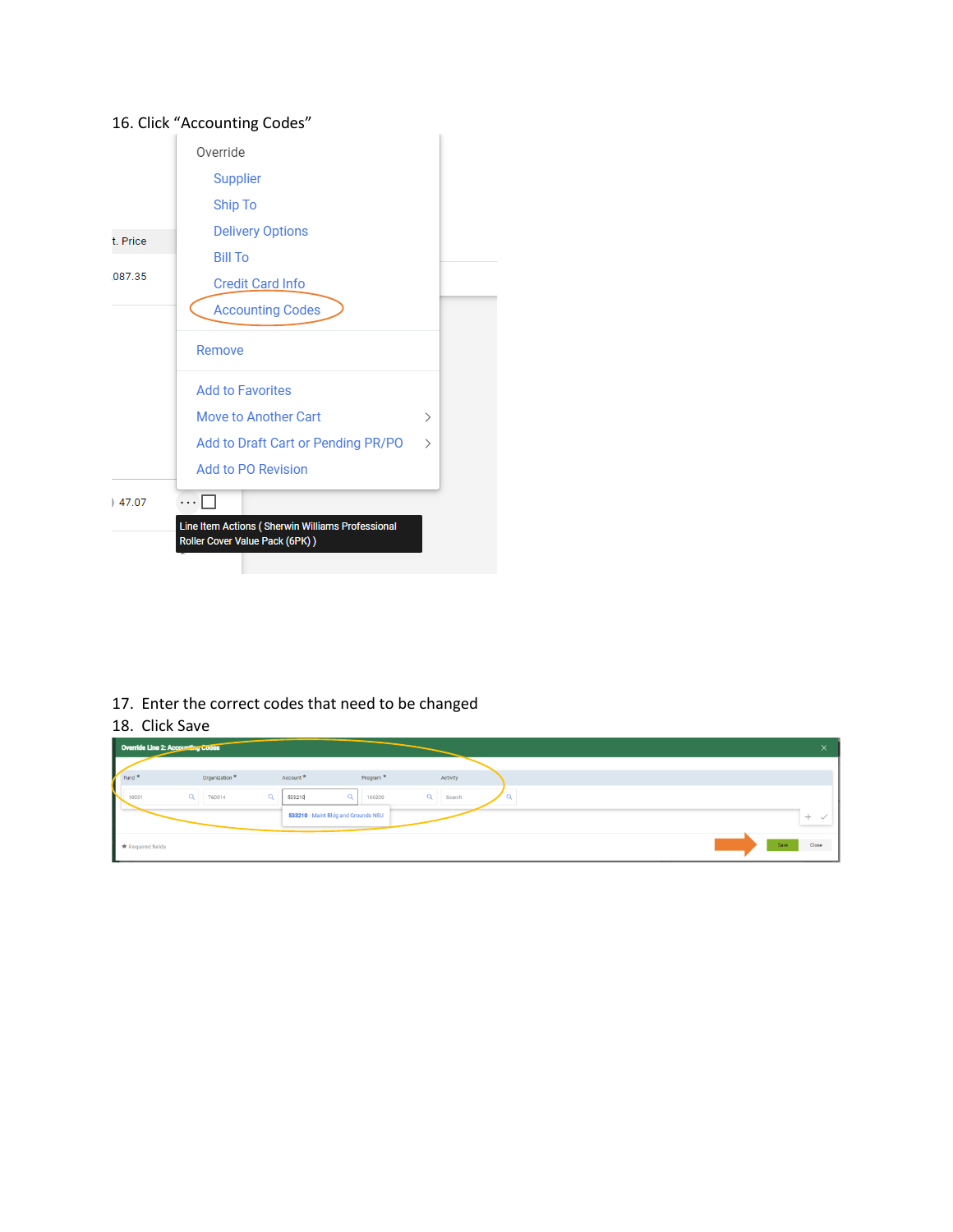# Override Supplier Ship To **Delivery Options** t. Price **Bill To** ,087.35 **Credit Card Info Accounting Codes** Remove **Add to Favorites** Move to Another Cart  $\,$ Add to Draft Cart or Pending PR/PO  $\,>$ Add to PO Revision  $\cdots \Box$  $|47.07$ Line Item Actions (Sherwin Williams Professional Roller Cover Value Pack (6PK))

### 17. Enter the correct codes that need to be changed

#### 18. Click Save

| Override Line 2: Accounting Codes |                           |                      |                                     |          |  | $\curvearrowright$     |
|-----------------------------------|---------------------------|----------------------|-------------------------------------|----------|--|------------------------|
| Fund *                            | Organization <sup>*</sup> | Account <sup>*</sup> | Program <sup>*</sup>                | Activity |  |                        |
| 10001                             | Q<br>T60014               | $\alpha$<br>533210   | Q<br>166200                         | Q Search |  |                        |
| N                                 |                           |                      | 533210 - Maint Bldg and Grounds NSU |          |  |                        |
|                                   |                           |                      |                                     |          |  | $^{+}$<br>$\checkmark$ |
| * Required fields                 |                           |                      |                                     |          |  | Close<br>Save          |

### 16. Click "Accounting Codes"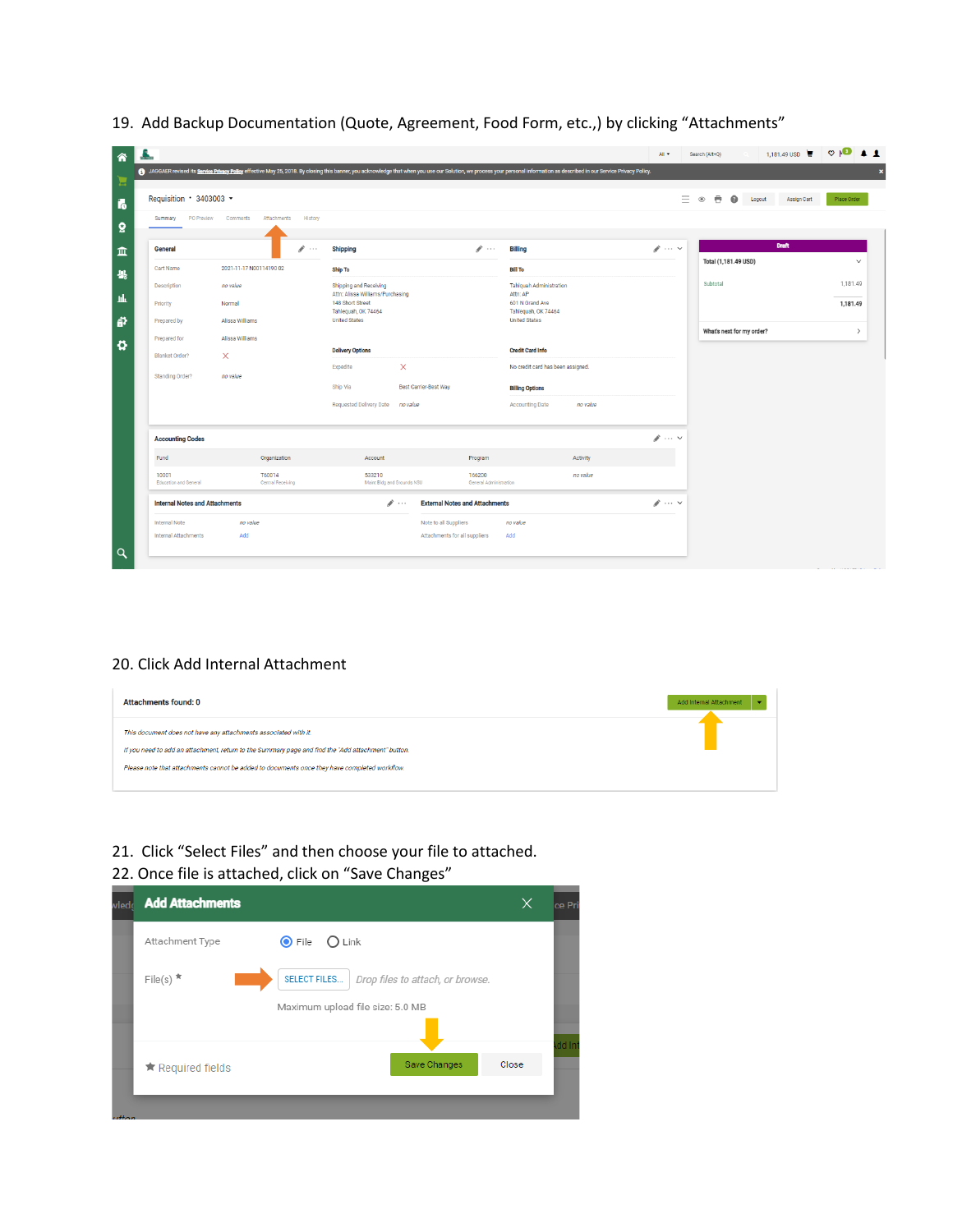| Requisition 3403003 -                 |                                               |                                                      |                                       |                                             | Ξ                    | 豊<br>$\bullet$<br>$^{\circ}$<br>Logout | <b>Assign Cart</b><br>Place Order |
|---------------------------------------|-----------------------------------------------|------------------------------------------------------|---------------------------------------|---------------------------------------------|----------------------|----------------------------------------|-----------------------------------|
| Summary                               | PO Preview Comments<br>Attachments<br>History |                                                      |                                       |                                             |                      |                                        |                                   |
| General                               | $\sim$                                        | <b>Shipping</b>                                      | $\mathscr{F}$                         | <b>Billing</b>                              | $\mathscr{N}$ $\vee$ | <b>Draft</b>                           |                                   |
| Cart Name                             | 2021-11-17 N00114190 02                       | <b>Ship To</b>                                       |                                       | <b>Bill To</b>                              |                      | Total (1,181.49 USD)                   |                                   |
| Description                           | no value                                      | Shipping and Receiving                               |                                       | <b>Tahlquah Administration</b>              |                      | Subtotal                               | 1,181.49                          |
| Priority                              | Normal                                        | Attn: Alissa Williams/Purchasing<br>148 Short Street |                                       | Attn: AP<br>601 N Grand Ave                 |                      |                                        | 1,181.49                          |
| Prepared by                           | Alissa Williams                               | Tahlequah, OK 74464<br><b>United States</b>          |                                       | Tahlequah, OK 74464<br><b>United States</b> |                      |                                        |                                   |
| Prepared for                          | Alissa Williams                               |                                                      |                                       |                                             |                      | What's next for my order?              |                                   |
| Blanket Order?                        | X                                             | <b>Delivery Options</b>                              |                                       | <b>Credit Card Info</b>                     |                      |                                        |                                   |
| Standing Order?                       | no value                                      | $\times$<br>Expedite                                 |                                       | No credit card has been assigned.           |                      |                                        |                                   |
|                                       |                                               | Ship Via<br><b>Best Carrier-Best Wav</b>             |                                       | <b>Billing Options</b>                      |                      |                                        |                                   |
|                                       |                                               | Requested Delivery Date<br>no value                  |                                       | <b>Accounting Date</b><br>no value          |                      |                                        |                                   |
| <b>Accounting Codes</b>               |                                               |                                                      |                                       |                                             | $\mathscr{P}$ $\vee$ |                                        |                                   |
| Fund                                  | Organization                                  | Account                                              | Program                               | Activity                                    |                      |                                        |                                   |
| 10001<br>Education and General        | T60014<br>Central Receiving                   | 533210<br>Maint Bldg and Grounds NSU                 | 166200<br>General Administration      | no value                                    |                      |                                        |                                   |
| <b>Internal Notes and Attachments</b> |                                               | $\mathscr{P}$                                        | <b>External Notes and Attachments</b> |                                             | $\mathscr{P}$ $\vee$ |                                        |                                   |
| <b>Internal Note</b>                  | no value                                      | Note to all Suppliers                                |                                       | no value                                    |                      |                                        |                                   |

# 19. Add Backup Documentation (Quote, Agreement, Food Form, etc.,) by clicking "Attachments"

#### 20. Click Add Internal Attachment

| <b>Attachments found: 0</b>                                                                        | Add Internal Attachment |
|----------------------------------------------------------------------------------------------------|-------------------------|
| This document does not have any attachments associated with it.                                    |                         |
| If you need to add an attachment, return to the Summary page and find the "Add attachment" button. |                         |
| Please note that attachments cannot be added to documents once they have completed workflow.       |                         |
|                                                                                                    |                         |

### 21. Click "Select Files" and then choose your file to attached. 22. Once file is attached, click on "Save Changes"

| wledd                       | <b>Add Attachments</b>                                          | ×     | ce Pri |
|-----------------------------|-----------------------------------------------------------------|-------|--------|
|                             | $\odot$ File<br>$\bigcirc$ Link<br>Attachment Type              |       |        |
|                             | File(s) $*$<br>SELECT FILES<br>Drop files to attach, or browse. |       |        |
|                             | Maximum upload file size: 5.0 MB                                |       |        |
|                             | Save Changes                                                    | Close | dd Int |
|                             | ★ Required fields                                               |       |        |
| <b><i><u>Alaman</u></i></b> |                                                                 |       |        |